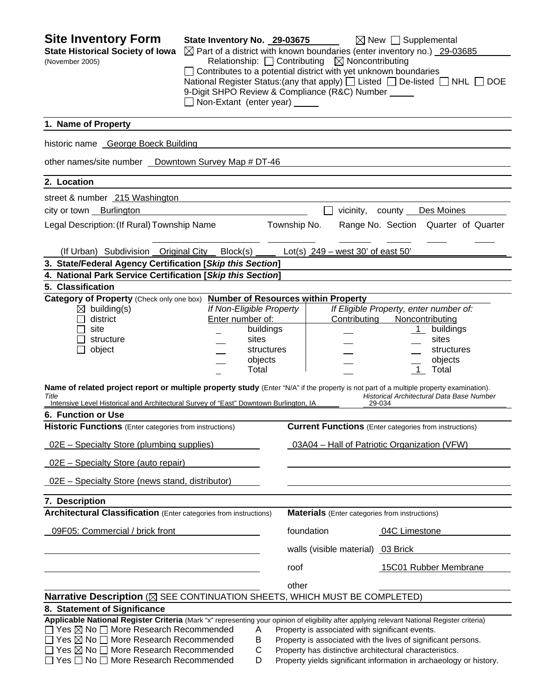| <b>Site Inventory Form</b><br><b>State Historical Society of Iowa</b><br>(November 2005)                                                                                                                                                                                                                                                                                                                                        | State Inventory No. 29-03675<br>Non-Extant (enter year) _____                                        | Relationship: $\Box$ Contributing $\boxtimes$ Noncontributing<br>Contributes to a potential district with yet unknown boundaries<br>9-Digit SHPO Review & Compliance (R&C) Number _____ | $\boxtimes$ New $\Box$ Supplemental<br>$\boxtimes$ Part of a district with known boundaries (enter inventory no.) 29-03685<br>National Register Status: (any that apply) $\Box$ Listed $\Box$ De-listed $\Box$ NHL $\Box$<br><b>DOE</b> |
|---------------------------------------------------------------------------------------------------------------------------------------------------------------------------------------------------------------------------------------------------------------------------------------------------------------------------------------------------------------------------------------------------------------------------------|------------------------------------------------------------------------------------------------------|-----------------------------------------------------------------------------------------------------------------------------------------------------------------------------------------|-----------------------------------------------------------------------------------------------------------------------------------------------------------------------------------------------------------------------------------------|
| 1. Name of Property                                                                                                                                                                                                                                                                                                                                                                                                             |                                                                                                      |                                                                                                                                                                                         |                                                                                                                                                                                                                                         |
| historic name George Boeck Building                                                                                                                                                                                                                                                                                                                                                                                             |                                                                                                      |                                                                                                                                                                                         |                                                                                                                                                                                                                                         |
| other names/site number _ Downtown Survey Map # DT-46                                                                                                                                                                                                                                                                                                                                                                           |                                                                                                      |                                                                                                                                                                                         |                                                                                                                                                                                                                                         |
| 2. Location                                                                                                                                                                                                                                                                                                                                                                                                                     |                                                                                                      |                                                                                                                                                                                         |                                                                                                                                                                                                                                         |
| street & number 215 Washington                                                                                                                                                                                                                                                                                                                                                                                                  |                                                                                                      |                                                                                                                                                                                         |                                                                                                                                                                                                                                         |
| city or town Burlington                                                                                                                                                                                                                                                                                                                                                                                                         |                                                                                                      | vicinity, county __                                                                                                                                                                     | Des Moines                                                                                                                                                                                                                              |
| Legal Description: (If Rural) Township Name                                                                                                                                                                                                                                                                                                                                                                                     |                                                                                                      | Township No.                                                                                                                                                                            | Range No. Section Quarter of Quarter                                                                                                                                                                                                    |
| (If Urban) Subdivision Original City Block(s)                                                                                                                                                                                                                                                                                                                                                                                   |                                                                                                      | Lot(s) $249 - west 30'$ of east 50'                                                                                                                                                     |                                                                                                                                                                                                                                         |
| 3. State/Federal Agency Certification [Skip this Section]                                                                                                                                                                                                                                                                                                                                                                       |                                                                                                      |                                                                                                                                                                                         |                                                                                                                                                                                                                                         |
| 4. National Park Service Certification [Skip this Section]                                                                                                                                                                                                                                                                                                                                                                      |                                                                                                      |                                                                                                                                                                                         |                                                                                                                                                                                                                                         |
| 5. Classification<br>Category of Property (Check only one box)                                                                                                                                                                                                                                                                                                                                                                  |                                                                                                      | <b>Number of Resources within Property</b>                                                                                                                                              |                                                                                                                                                                                                                                         |
| $\boxtimes$ building(s)<br>district<br>site<br>structure<br>object                                                                                                                                                                                                                                                                                                                                                              | If Non-Eligible Property<br>Enter number of:<br>buildings<br>sites<br>structures<br>objects<br>Total | Contributing                                                                                                                                                                            | If Eligible Property, enter number of:<br>Noncontributing<br>buildings<br>$\mathbf{1}$<br>sites<br>structures<br>objects<br>Total<br>$\overline{1}$                                                                                     |
| Name of related project report or multiple property study (Enter "N/A" if the property is not part of a multiple property examination).<br>Title<br>Intensive Level Historical and Architectural Survey of "East" Downtown Burlington, IA                                                                                                                                                                                       |                                                                                                      |                                                                                                                                                                                         | Historical Architectural Data Base Number<br>29-034                                                                                                                                                                                     |
| 6. Function or Use                                                                                                                                                                                                                                                                                                                                                                                                              |                                                                                                      |                                                                                                                                                                                         |                                                                                                                                                                                                                                         |
| <b>Historic Functions</b> (Enter categories from instructions)                                                                                                                                                                                                                                                                                                                                                                  |                                                                                                      |                                                                                                                                                                                         | <b>Current Functions</b> (Enter categories from instructions)                                                                                                                                                                           |
| <u>02E – Specialty Store (plumbing supplies)</u>                                                                                                                                                                                                                                                                                                                                                                                |                                                                                                      |                                                                                                                                                                                         | 03A04 - Hall of Patriotic Organization (VFW)                                                                                                                                                                                            |
| 02E - Specialty Store (auto repair)                                                                                                                                                                                                                                                                                                                                                                                             |                                                                                                      |                                                                                                                                                                                         |                                                                                                                                                                                                                                         |
| 02E - Specialty Store (news stand, distributor)                                                                                                                                                                                                                                                                                                                                                                                 |                                                                                                      |                                                                                                                                                                                         |                                                                                                                                                                                                                                         |
| 7. Description                                                                                                                                                                                                                                                                                                                                                                                                                  |                                                                                                      |                                                                                                                                                                                         |                                                                                                                                                                                                                                         |
| <b>Architectural Classification</b> (Enter categories from instructions)                                                                                                                                                                                                                                                                                                                                                        |                                                                                                      | <b>Materials</b> (Enter categories from instructions)                                                                                                                                   |                                                                                                                                                                                                                                         |
| 09F05: Commercial / brick front                                                                                                                                                                                                                                                                                                                                                                                                 |                                                                                                      | foundation                                                                                                                                                                              | 04C Limestone                                                                                                                                                                                                                           |
|                                                                                                                                                                                                                                                                                                                                                                                                                                 |                                                                                                      | walls (visible material) 03 Brick                                                                                                                                                       |                                                                                                                                                                                                                                         |
|                                                                                                                                                                                                                                                                                                                                                                                                                                 |                                                                                                      | roof                                                                                                                                                                                    | 15C01 Rubber Membrane                                                                                                                                                                                                                   |
|                                                                                                                                                                                                                                                                                                                                                                                                                                 |                                                                                                      | other                                                                                                                                                                                   |                                                                                                                                                                                                                                         |
| Narrative Description ( $\boxtimes$ SEE CONTINUATION SHEETS, WHICH MUST BE COMPLETED)                                                                                                                                                                                                                                                                                                                                           |                                                                                                      |                                                                                                                                                                                         |                                                                                                                                                                                                                                         |
| 8. Statement of Significance<br>Applicable National Register Criteria (Mark "x" representing your opinion of eligibility after applying relevant National Register criteria)<br>$\Box$ Yes $\boxtimes$ No $\Box$ More Research Recommended<br>$\Box$ Yes $\boxtimes$ No $\Box$ More Research Recommended<br>$\Box$ Yes $\boxtimes$ No $\Box$ More Research Recommended<br>$\Box$ Yes $\Box$ No $\Box$ More Research Recommended | Α<br>B<br>$\mathsf{C}$<br>D                                                                          | Property is associated with significant events.<br>Property has distinctive architectural characteristics.                                                                              | Property is associated with the lives of significant persons.<br>Property yields significant information in archaeology or history.                                                                                                     |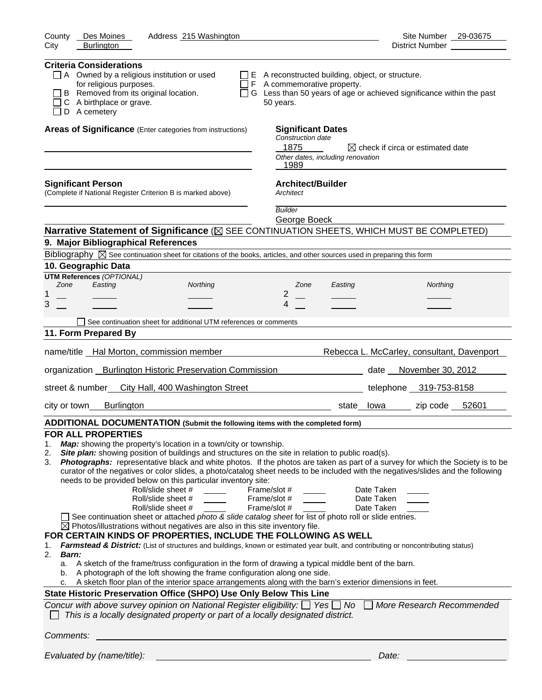| County<br>Des Moines<br>Address 215 Washington                                                                                                                                                                                                                                                                                                                                                                                                                                                                                                                                                                                                                                                                                                                                                                                                                                                                                                                                                                                                                                                                                                                                                                                                                                                                                                                                                                                                                                                                                                                                                                                                                                                                                      | Site Number 29-03675                         |
|-------------------------------------------------------------------------------------------------------------------------------------------------------------------------------------------------------------------------------------------------------------------------------------------------------------------------------------------------------------------------------------------------------------------------------------------------------------------------------------------------------------------------------------------------------------------------------------------------------------------------------------------------------------------------------------------------------------------------------------------------------------------------------------------------------------------------------------------------------------------------------------------------------------------------------------------------------------------------------------------------------------------------------------------------------------------------------------------------------------------------------------------------------------------------------------------------------------------------------------------------------------------------------------------------------------------------------------------------------------------------------------------------------------------------------------------------------------------------------------------------------------------------------------------------------------------------------------------------------------------------------------------------------------------------------------------------------------------------------------|----------------------------------------------|
| City<br><b>Burlington</b>                                                                                                                                                                                                                                                                                                                                                                                                                                                                                                                                                                                                                                                                                                                                                                                                                                                                                                                                                                                                                                                                                                                                                                                                                                                                                                                                                                                                                                                                                                                                                                                                                                                                                                           |                                              |
| <b>Criteria Considerations</b><br>$\Box$ A Owned by a religious institution or used<br>$\Box$ E A reconstructed building, object, or structure.<br>for religious purposes.<br>$\Box$ F A commemorative property.<br>B Removed from its original location.<br>□ G Less than 50 years of age or achieved significance within the past<br>C A birthplace or grave.<br>50 years.<br>D A cemetery                                                                                                                                                                                                                                                                                                                                                                                                                                                                                                                                                                                                                                                                                                                                                                                                                                                                                                                                                                                                                                                                                                                                                                                                                                                                                                                                        |                                              |
| Areas of Significance (Enter categories from instructions)<br><b>Significant Dates</b><br>Construction date<br>1875<br>Other dates, including renovation<br>1989                                                                                                                                                                                                                                                                                                                                                                                                                                                                                                                                                                                                                                                                                                                                                                                                                                                                                                                                                                                                                                                                                                                                                                                                                                                                                                                                                                                                                                                                                                                                                                    | $\boxtimes$ check if circa or estimated date |
| <b>Architect/Builder</b><br><b>Significant Person</b><br>(Complete if National Register Criterion B is marked above)<br>Architect                                                                                                                                                                                                                                                                                                                                                                                                                                                                                                                                                                                                                                                                                                                                                                                                                                                                                                                                                                                                                                                                                                                                                                                                                                                                                                                                                                                                                                                                                                                                                                                                   |                                              |
| <b>Builder</b>                                                                                                                                                                                                                                                                                                                                                                                                                                                                                                                                                                                                                                                                                                                                                                                                                                                                                                                                                                                                                                                                                                                                                                                                                                                                                                                                                                                                                                                                                                                                                                                                                                                                                                                      |                                              |
| George Boeck<br>Narrative Statement of Significance ( $\boxtimes$ SEE CONTINUATION SHEETS, WHICH MUST BE COMPLETED)                                                                                                                                                                                                                                                                                                                                                                                                                                                                                                                                                                                                                                                                                                                                                                                                                                                                                                                                                                                                                                                                                                                                                                                                                                                                                                                                                                                                                                                                                                                                                                                                                 |                                              |
| 9. Major Bibliographical References                                                                                                                                                                                                                                                                                                                                                                                                                                                                                                                                                                                                                                                                                                                                                                                                                                                                                                                                                                                                                                                                                                                                                                                                                                                                                                                                                                                                                                                                                                                                                                                                                                                                                                 |                                              |
| Bibliography $\boxtimes$ See continuation sheet for citations of the books, articles, and other sources used in preparing this form                                                                                                                                                                                                                                                                                                                                                                                                                                                                                                                                                                                                                                                                                                                                                                                                                                                                                                                                                                                                                                                                                                                                                                                                                                                                                                                                                                                                                                                                                                                                                                                                 |                                              |
| 10. Geographic Data                                                                                                                                                                                                                                                                                                                                                                                                                                                                                                                                                                                                                                                                                                                                                                                                                                                                                                                                                                                                                                                                                                                                                                                                                                                                                                                                                                                                                                                                                                                                                                                                                                                                                                                 |                                              |
| <b>UTM References (OPTIONAL)</b>                                                                                                                                                                                                                                                                                                                                                                                                                                                                                                                                                                                                                                                                                                                                                                                                                                                                                                                                                                                                                                                                                                                                                                                                                                                                                                                                                                                                                                                                                                                                                                                                                                                                                                    |                                              |
| Zone<br>Easting<br>Northing<br>Zone<br>Easting<br>$\overline{2}$<br>1                                                                                                                                                                                                                                                                                                                                                                                                                                                                                                                                                                                                                                                                                                                                                                                                                                                                                                                                                                                                                                                                                                                                                                                                                                                                                                                                                                                                                                                                                                                                                                                                                                                               | Northing                                     |
| 3<br>4                                                                                                                                                                                                                                                                                                                                                                                                                                                                                                                                                                                                                                                                                                                                                                                                                                                                                                                                                                                                                                                                                                                                                                                                                                                                                                                                                                                                                                                                                                                                                                                                                                                                                                                              |                                              |
| See continuation sheet for additional UTM references or comments                                                                                                                                                                                                                                                                                                                                                                                                                                                                                                                                                                                                                                                                                                                                                                                                                                                                                                                                                                                                                                                                                                                                                                                                                                                                                                                                                                                                                                                                                                                                                                                                                                                                    |                                              |
| 11. Form Prepared By                                                                                                                                                                                                                                                                                                                                                                                                                                                                                                                                                                                                                                                                                                                                                                                                                                                                                                                                                                                                                                                                                                                                                                                                                                                                                                                                                                                                                                                                                                                                                                                                                                                                                                                |                                              |
|                                                                                                                                                                                                                                                                                                                                                                                                                                                                                                                                                                                                                                                                                                                                                                                                                                                                                                                                                                                                                                                                                                                                                                                                                                                                                                                                                                                                                                                                                                                                                                                                                                                                                                                                     |                                              |
| name/title Hal Morton, commission member                                                                                                                                                                                                                                                                                                                                                                                                                                                                                                                                                                                                                                                                                                                                                                                                                                                                                                                                                                                                                                                                                                                                                                                                                                                                                                                                                                                                                                                                                                                                                                                                                                                                                            | Rebecca L. McCarley, consultant, Davenport   |
| organization Burlington Historic Preservation Commission                                                                                                                                                                                                                                                                                                                                                                                                                                                                                                                                                                                                                                                                                                                                                                                                                                                                                                                                                                                                                                                                                                                                                                                                                                                                                                                                                                                                                                                                                                                                                                                                                                                                            | date __ November 30, 2012                    |
| street & number<br>City Hall, 400 Washington Street                                                                                                                                                                                                                                                                                                                                                                                                                                                                                                                                                                                                                                                                                                                                                                                                                                                                                                                                                                                                                                                                                                                                                                                                                                                                                                                                                                                                                                                                                                                                                                                                                                                                                 | telephone 319-753-8158                       |
| <b>Burlington</b><br>city or town                                                                                                                                                                                                                                                                                                                                                                                                                                                                                                                                                                                                                                                                                                                                                                                                                                                                                                                                                                                                                                                                                                                                                                                                                                                                                                                                                                                                                                                                                                                                                                                                                                                                                                   | state lowa zip code 52601                    |
| ADDITIONAL DOCUMENTATION (Submit the following items with the completed form)                                                                                                                                                                                                                                                                                                                                                                                                                                                                                                                                                                                                                                                                                                                                                                                                                                                                                                                                                                                                                                                                                                                                                                                                                                                                                                                                                                                                                                                                                                                                                                                                                                                       |                                              |
| <b>FOR ALL PROPERTIES</b><br>Map: showing the property's location in a town/city or township.<br>1.<br>Site plan: showing position of buildings and structures on the site in relation to public road(s).<br>2.<br>Photographs: representative black and white photos. If the photos are taken as part of a survey for which the Society is to be<br>3.<br>curator of the negatives or color slides, a photo/catalog sheet needs to be included with the negatives/slides and the following<br>needs to be provided below on this particular inventory site:<br>Roll/slide sheet #<br>Frame/slot #<br>Date Taken<br>Roll/slide sheet #<br>Date Taken<br>Frame/slot #<br>Roll/slide sheet #<br>Frame/slot #<br>Date Taken<br>See continuation sheet or attached photo & slide catalog sheet for list of photo roll or slide entries.<br>$\boxtimes$ Photos/illustrations without negatives are also in this site inventory file.<br>FOR CERTAIN KINDS OF PROPERTIES, INCLUDE THE FOLLOWING AS WELL<br>Farmstead & District: (List of structures and buildings, known or estimated year built, and contributing or noncontributing status)<br>1.<br>2.<br>Barn:<br>A sketch of the frame/truss configuration in the form of drawing a typical middle bent of the barn.<br>а.<br>A photograph of the loft showing the frame configuration along one side.<br>b.<br>A sketch floor plan of the interior space arrangements along with the barn's exterior dimensions in feet.<br>c.<br>State Historic Preservation Office (SHPO) Use Only Below This Line<br>Concur with above survey opinion on National Register eligibility: $\Box$ Yes $\Box$ No<br>This is a locally designated property or part of a locally designated district. | More Research Recommended                    |
| Comments:                                                                                                                                                                                                                                                                                                                                                                                                                                                                                                                                                                                                                                                                                                                                                                                                                                                                                                                                                                                                                                                                                                                                                                                                                                                                                                                                                                                                                                                                                                                                                                                                                                                                                                                           |                                              |
| Evaluated by (name/title):                                                                                                                                                                                                                                                                                                                                                                                                                                                                                                                                                                                                                                                                                                                                                                                                                                                                                                                                                                                                                                                                                                                                                                                                                                                                                                                                                                                                                                                                                                                                                                                                                                                                                                          | Date:                                        |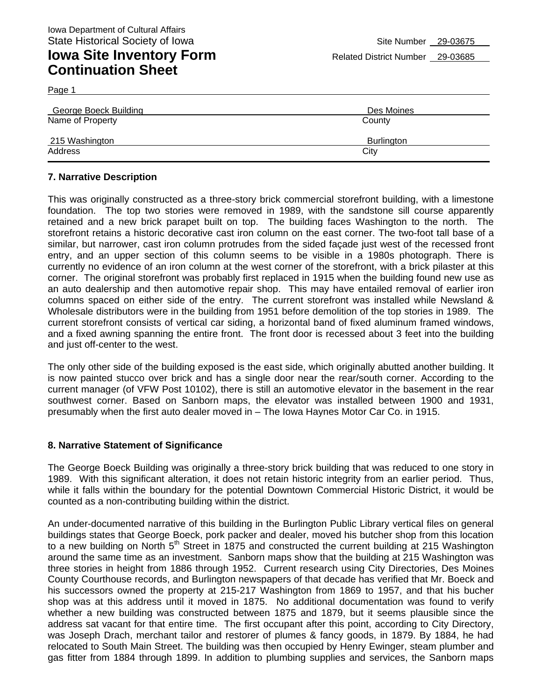Page 1

| <b>George Boeck Building</b> | Des Moines |
|------------------------------|------------|
| Name of Property             | County     |
| 215 Washington               | Burlington |
| Address                      | City       |

### **7. Narrative Description**

This was originally constructed as a three-story brick commercial storefront building, with a limestone foundation. The top two stories were removed in 1989, with the sandstone sill course apparently retained and a new brick parapet built on top. The building faces Washington to the north. The storefront retains a historic decorative cast iron column on the east corner. The two-foot tall base of a similar, but narrower, cast iron column protrudes from the sided façade just west of the recessed front entry, and an upper section of this column seems to be visible in a 1980s photograph. There is currently no evidence of an iron column at the west corner of the storefront, with a brick pilaster at this corner. The original storefront was probably first replaced in 1915 when the building found new use as an auto dealership and then automotive repair shop. This may have entailed removal of earlier iron columns spaced on either side of the entry. The current storefront was installed while Newsland & Wholesale distributors were in the building from 1951 before demolition of the top stories in 1989. The current storefront consists of vertical car siding, a horizontal band of fixed aluminum framed windows, and a fixed awning spanning the entire front. The front door is recessed about 3 feet into the building and just off-center to the west.

The only other side of the building exposed is the east side, which originally abutted another building. It is now painted stucco over brick and has a single door near the rear/south corner. According to the current manager (of VFW Post 10102), there is still an automotive elevator in the basement in the rear southwest corner. Based on Sanborn maps, the elevator was installed between 1900 and 1931, presumably when the first auto dealer moved in – The Iowa Haynes Motor Car Co. in 1915.

#### **8. Narrative Statement of Significance**

The George Boeck Building was originally a three-story brick building that was reduced to one story in 1989. With this significant alteration, it does not retain historic integrity from an earlier period. Thus, while it falls within the boundary for the potential Downtown Commercial Historic District, it would be counted as a non-contributing building within the district.

An under-documented narrative of this building in the Burlington Public Library vertical files on general buildings states that George Boeck, pork packer and dealer, moved his butcher shop from this location to a new building on North 5<sup>th</sup> Street in 1875 and constructed the current building at 215 Washington around the same time as an investment. Sanborn maps show that the building at 215 Washington was three stories in height from 1886 through 1952. Current research using City Directories, Des Moines County Courthouse records, and Burlington newspapers of that decade has verified that Mr. Boeck and his successors owned the property at 215-217 Washington from 1869 to 1957, and that his bucher shop was at this address until it moved in 1875. No additional documentation was found to verify whether a new building was constructed between 1875 and 1879, but it seems plausible since the address sat vacant for that entire time. The first occupant after this point, according to City Directory, was Joseph Drach, merchant tailor and restorer of plumes & fancy goods, in 1879. By 1884, he had relocated to South Main Street. The building was then occupied by Henry Ewinger, steam plumber and gas fitter from 1884 through 1899. In addition to plumbing supplies and services, the Sanborn maps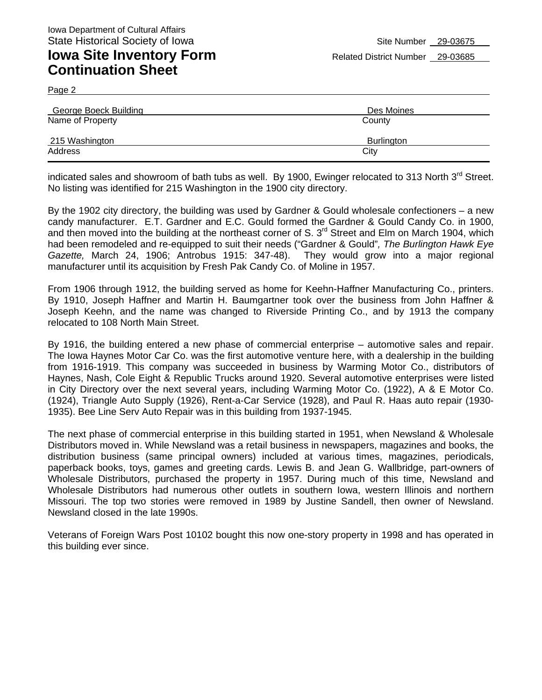Page 2

| <b>George Boeck Building</b> | Des Moines |
|------------------------------|------------|
| Name of Property             | County     |
| 215 Washington               | Burlington |
| Address                      | City       |

indicated sales and showroom of bath tubs as well. By 1900, Ewinger relocated to 313 North 3<sup>rd</sup> Street. No listing was identified for 215 Washington in the 1900 city directory.

By the 1902 city directory, the building was used by Gardner & Gould wholesale confectioners – a new candy manufacturer. E.T. Gardner and E.C. Gould formed the Gardner & Gould Candy Co. in 1900, and then moved into the building at the northeast corner of S. 3<sup>rd</sup> Street and Elm on March 1904, which had been remodeled and re-equipped to suit their needs ("Gardner & Gould"*, The Burlington Hawk Eye Gazette,* March 24, 1906; Antrobus 1915: 347-48). They would grow into a major regional manufacturer until its acquisition by Fresh Pak Candy Co. of Moline in 1957.

From 1906 through 1912, the building served as home for Keehn-Haffner Manufacturing Co., printers. By 1910, Joseph Haffner and Martin H. Baumgartner took over the business from John Haffner & Joseph Keehn, and the name was changed to Riverside Printing Co., and by 1913 the company relocated to 108 North Main Street.

By 1916, the building entered a new phase of commercial enterprise – automotive sales and repair. The Iowa Haynes Motor Car Co. was the first automotive venture here, with a dealership in the building from 1916-1919. This company was succeeded in business by Warming Motor Co., distributors of Haynes, Nash, Cole Eight & Republic Trucks around 1920. Several automotive enterprises were listed in City Directory over the next several years, including Warming Motor Co. (1922), A & E Motor Co. (1924), Triangle Auto Supply (1926), Rent-a-Car Service (1928), and Paul R. Haas auto repair (1930- 1935). Bee Line Serv Auto Repair was in this building from 1937-1945.

The next phase of commercial enterprise in this building started in 1951, when Newsland & Wholesale Distributors moved in. While Newsland was a retail business in newspapers, magazines and books, the distribution business (same principal owners) included at various times, magazines, periodicals, paperback books, toys, games and greeting cards. Lewis B. and Jean G. Wallbridge, part-owners of Wholesale Distributors, purchased the property in 1957. During much of this time, Newsland and Wholesale Distributors had numerous other outlets in southern Iowa, western Illinois and northern Missouri. The top two stories were removed in 1989 by Justine Sandell, then owner of Newsland. Newsland closed in the late 1990s.

Veterans of Foreign Wars Post 10102 bought this now one-story property in 1998 and has operated in this building ever since.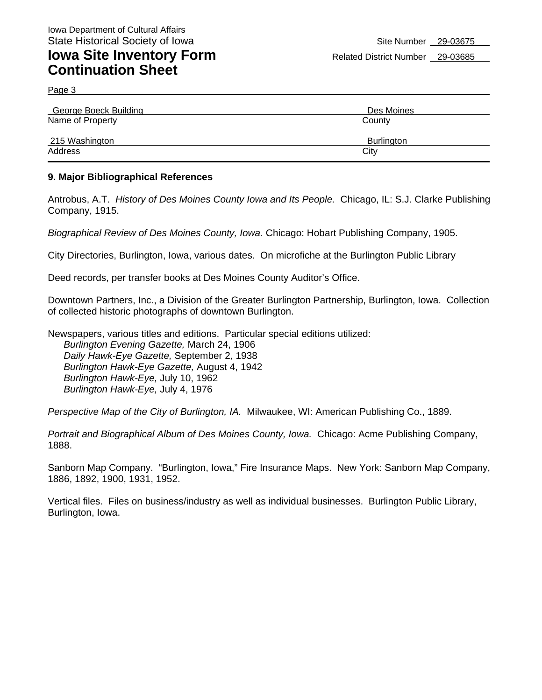Page 3

| <b>George Boeck Building</b> | Des Moines |
|------------------------------|------------|
| Name of Property             | County     |
| 215 Washington               | Burlington |
| Address                      | City       |

#### **9. Major Bibliographical References**

Antrobus, A.T. *History of Des Moines County Iowa and Its People.* Chicago, IL: S.J. Clarke Publishing Company, 1915.

*Biographical Review of Des Moines County, Iowa.* Chicago: Hobart Publishing Company, 1905.

City Directories, Burlington, Iowa, various dates. On microfiche at the Burlington Public Library

Deed records, per transfer books at Des Moines County Auditor's Office.

Downtown Partners, Inc., a Division of the Greater Burlington Partnership, Burlington, Iowa. Collection of collected historic photographs of downtown Burlington.

Newspapers, various titles and editions. Particular special editions utilized: *Burlington Evening Gazette,* March 24, 1906 *Daily Hawk-Eye Gazette,* September 2, 1938 *Burlington Hawk-Eye Gazette,* August 4, 1942 *Burlington Hawk-Eye,* July 10, 1962 *Burlington Hawk-Eye,* July 4, 1976

*Perspective Map of the City of Burlington, IA.* Milwaukee, WI: American Publishing Co., 1889.

*Portrait and Biographical Album of Des Moines County, Iowa.* Chicago: Acme Publishing Company, 1888.

Sanborn Map Company. "Burlington, Iowa," Fire Insurance Maps. New York: Sanborn Map Company, 1886, 1892, 1900, 1931, 1952.

Vertical files. Files on business/industry as well as individual businesses. Burlington Public Library, Burlington, Iowa.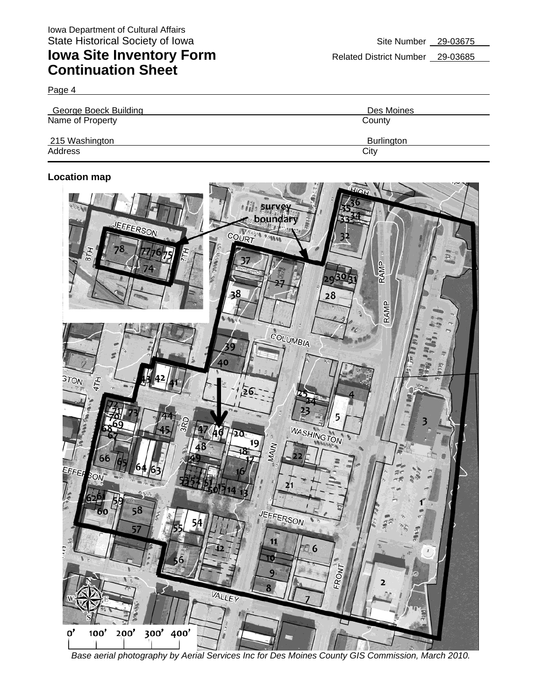Page 4

| <b>George Boeck Building</b> | Des Moines |
|------------------------------|------------|
| Name of Property             | County     |
| 215 Washington               | Burlington |
| Address                      | City       |

### **Location map**



*Base aerial photography by Aerial Services Inc for Des Moines County GIS Commission, March 2010.*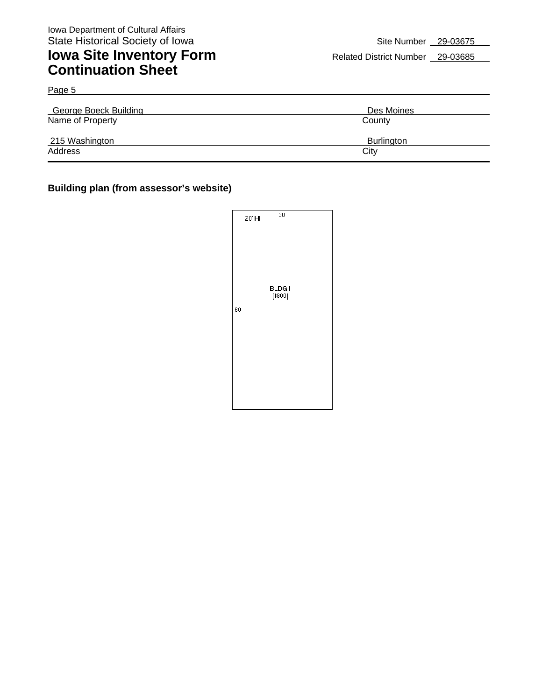Page 5

## **Iowa Site Inventory Form** Related District Number 29-03685 **Continuation Sheet**

| <b>George Boeck Building</b> | Des Moines |
|------------------------------|------------|
| Name of Property             | County     |
| 215 Washington               | Burlington |
| Address                      | City       |

### **Building plan (from assessor's website)**

|    | 20' HI | 30     |  |
|----|--------|--------|--|
|    |        |        |  |
|    |        | BLDG1  |  |
| 60 |        | [1800] |  |
|    |        |        |  |
|    |        |        |  |
|    |        |        |  |
|    |        |        |  |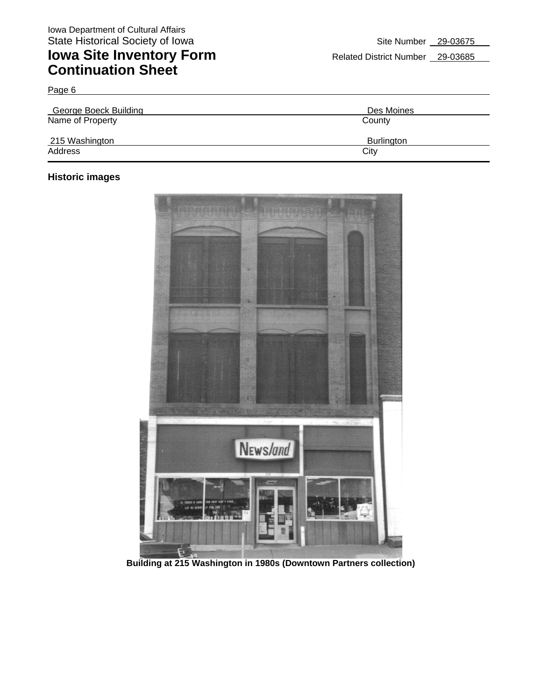| r | $20 - 03685$ |  |
|---|--------------|--|

| <b>George Boeck Building</b> | Des Moines |
|------------------------------|------------|
| Name of Property             | County     |
| 215 Washington               | Burlington |
| Address                      | City       |

### **Historic images**

Page 6



**Building at 215 Washington in 1980s (Downtown Partners collection)**